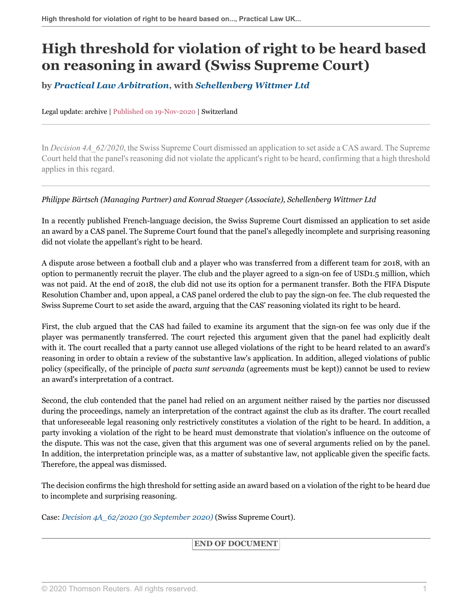## **High threshold for violation of right to be heard based on reasoning in award (Swiss Supreme Court)**

**by** *[Practical Law Arbitration](https://uk.practicallaw.thomsonreuters.com/Browse/Home/About/OurteamArbitration )***, with** *[Schellenberg Wittmer Ltd](https://www.swlegal.ch/en/ )*

Legal update: archive | Published on 19-Nov-2020 | Switzerland

In *Decision 4A\_62/2020*, the Swiss Supreme Court dismissed an application to set aside a CAS award. The Supreme Court held that the panel's reasoning did not violate the applicant's right to be heard, confirming that a high threshold applies in this regard.

## *Philippe Bärtsch (Managing Partner) and Konrad Staeger (Associate), Schellenberg Wittmer Ltd*

In a recently published French-language decision, the Swiss Supreme Court dismissed an application to set aside an award by a CAS panel. The Supreme Court found that the panel's allegedly incomplete and surprising reasoning did not violate the appellant's right to be heard.

A dispute arose between a football club and a player who was transferred from a different team for 2018, with an option to permanently recruit the player. The club and the player agreed to a sign-on fee of USD1.5 million, which was not paid. At the end of 2018, the club did not use its option for a permanent transfer. Both the FIFA Dispute Resolution Chamber and, upon appeal, a CAS panel ordered the club to pay the sign-on fee. The club requested the Swiss Supreme Court to set aside the award, arguing that the CAS' reasoning violated its right to be heard.

First, the club argued that the CAS had failed to examine its argument that the sign-on fee was only due if the player was permanently transferred. The court rejected this argument given that the panel had explicitly dealt with it. The court recalled that a party cannot use alleged violations of the right to be heard related to an award's reasoning in order to obtain a review of the substantive law's application. In addition, alleged violations of public policy (specifically, of the principle of *pacta sunt servanda* (agreements must be kept)) cannot be used to review an award's interpretation of a contract.

Second, the club contended that the panel had relied on an argument neither raised by the parties nor discussed during the proceedings, namely an interpretation of the contract against the club as its drafter. The court recalled that unforeseeable legal reasoning only restrictively constitutes a violation of the right to be heard. In addition, a party invoking a violation of the right to be heard must demonstrate that violation's influence on the outcome of the dispute. This was not the case, given that this argument was one of several arguments relied on by the panel. In addition, the interpretation principle was, as a matter of substantive law, not applicable given the specific facts. Therefore, the appeal was dismissed.

The decision confirms the high threshold for setting aside an award based on a violation of the right to be heard due to incomplete and surprising reasoning.

Case: *[Decision 4A\\_62/2020 \(30 September 2020\)](http://uk.practicallaw.thomsonreuters.com/w-028-3979?originationContext=document&vr=3.0&rs=PLUK1.0&transitionType=DocumentItem&contextData=(sc.Default))* (Swiss Supreme Court).

## **END OF DOCUMENT**